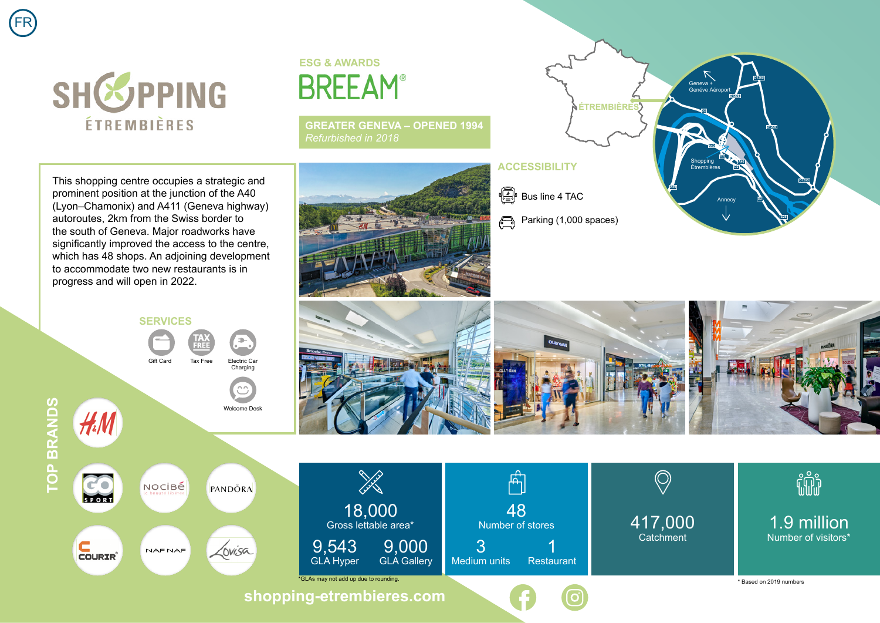



## **ESG & AWARDS BREEAM®**

**GREATER GENEVA – OPENED 1994** *Refurbished in 2018*

This shopping centre occupies a strategic and prominent position at the junction of the A40 (Lyon–Chamonix) and A411 (Geneva highway) autoroutes, 2km from the Swiss border to the south of Geneva. Major roadworks have significantly improved the access to the centre. which has 48 shops. An adjoining development to accommodate two new restaurants is in progress and will open in 2022.



 $\begin{bmatrix} \begin{smallmatrix}\begin{smallmatrix}\begin{smallmatrix}\begin{smallmatrix}\begin{smallmatrix}\begin{smallmatrix}\end{smallmatrix}\end{smallmatrix} \end{smallmatrix} \end{bmatrix} & \begin{smallmatrix}\begin{smallmatrix}\begin{smallmatrix}\begin{smallmatrix}\end{smallmatrix} \end{smallmatrix} \end{bmatrix} & \begin{smallmatrix}\end{smallmatrix} \end{bmatrix} & \begin{smallmatrix}\begin{smallmatrix}\begin{smallmatrix}\end{smallmatrix} \end{smallmatrix} \end{bmatrix} & \begin{smallmatrix}\begin{smallmatrix}\begin{smallmatrix}\begin{smallmatrix}\begin{smallmatrix}\end{smallmatrix} \end{smallmatrix} \end{bmatrix} & \begin{smallmatrix}\end{smallmatrix} \end{bmatrix} & \begin{smallmatrix}\begin$ 

 $\bigoplus$ 

**ACCESSIBILITY**

Parking (1,000 spaces)

**ÉTREMBIÈRES**

Geneva + Genéve Aéroport

**D2**

Shopping Étrembières

**A40**

**A40**

Annecy

**D2 D2**

**D1206**

**D2**

**D1205**

**D1205**

**E25**

**D1205**